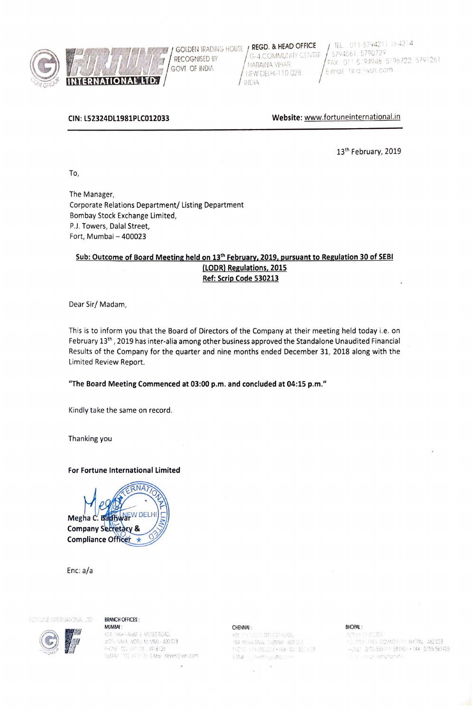

Will lm INTERNATIONAL **IDS** / **INDIA** 

GOVT OF INDIA MEW DELHI-110 028 FAX · 011-5794948. 579<br>GOVT OF INDIA MEW DELHI-110 028

GOLDEN TRADING HOUSE REGU. & HEAD OFFICE<br>RECOGNISED BY (G-4,COMMUNITY CENTRE 15794561, 5790729)<br>NARAINA VIHAR, FAX : 011-5794948, 5796722, 5791261 GOLDEN TRADING HOUSE **REGD. & HEAD OFFICE**  $\left( \begin{array}{c} \text{TEL.} & 011-5794211 & \text{IO } 4214 \\ \text{DEICGGNISTD BY} \end{array} \right)$  G-4, COMMUNITY CENTRE  $\left( \begin{array}{c} \text{TEL.} & 011-5794211 & \text{IO } 4214 \\ \text{S794561.} & 5790729 \end{array} \right)$ 

**CIN: LS2324DL1981PLC012033 Website:** www.fortuneinternational.in

13<sup>th</sup> February, 2019

To,

The Manager, Corporate Relations Department/ Listing Department Bombay Stock Exchange Limited, P.J. Towers, Dalal Street, Fort, Mumbai - 400023

## **Sub: Outcome of Board Meeting held on 13th February. 2019. pursuant to Regulation 30 of SEBI (LODRl Regulations, 2015 Ref: Scrip Code 530213**

Dear Sir/ Madam,

This is to inform you that the Board of Directors of the Company at their meeting held today i.e. on February 13<sup>th</sup>, 2019 has inter-alia among other business approved the Standalone Unaudited Financial Results of the Company for the quarter and nine months ended December 31, 2018 along with the Limited Review Report.

"The **Board Meeting Commenced at 03:00 p.m. and concluded at 04:15 p.m."** 

Kindly take the same on record.

Thanking you

## **For Fortune International Limited**

**RNA** EW DEL Megha C. Badhwa **Company Secretary & Compliance Officer** 

Enc: a/a

FORTUNE INTERNATIONAL LTD

## **BRANCH OFFICES:**

MUMBAI : BHOPAL : CHENNAI : CHENNAI : CHENNAI : BHOPAL : BHOPAL : ACRI NAKA, WORLI, MILMBAL - 400 018 PHONE: 022-4911741, 4918136 TELEFAX 022-4919136 E-Mail filbom@vshl.com

E Mail in Lichenn sylvanos chin

 $\lambda$ 

PLOT 8 A F2 SECTION . ; ( 0 •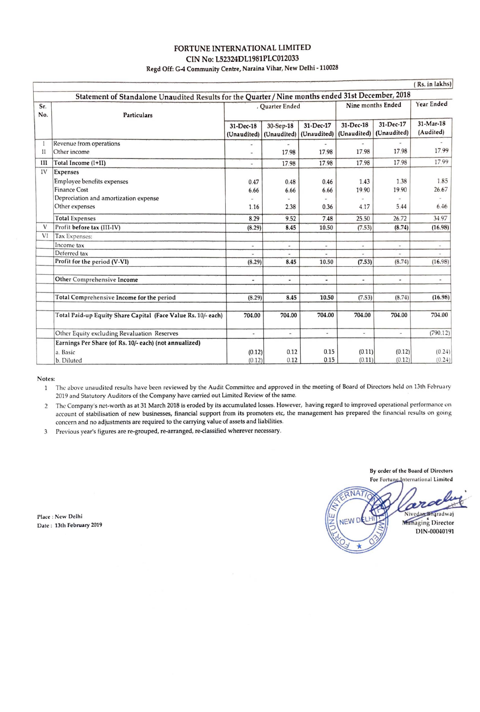## FORTUNE INTERNATIONAL LIMITED CIN No: L52324DL1981PLC012033 Regd Off: G-4 Community Centre, Naraina Vihar, New Delhi -110028

| (Rs. in lakhs)           |                                                                                                                                                                                                                                                                       |                                                            |                                                                          |                                                                            |                                                                                |                                                          |                                                                                  |
|--------------------------|-----------------------------------------------------------------------------------------------------------------------------------------------------------------------------------------------------------------------------------------------------------------------|------------------------------------------------------------|--------------------------------------------------------------------------|----------------------------------------------------------------------------|--------------------------------------------------------------------------------|----------------------------------------------------------|----------------------------------------------------------------------------------|
|                          | Statement of Standalone Unaudited Results for the Quarter / Nine months ended 31st December, 2018                                                                                                                                                                     |                                                            |                                                                          |                                                                            |                                                                                |                                                          |                                                                                  |
| Sr.<br>No.               | Particulars                                                                                                                                                                                                                                                           | , Quarter Ended                                            |                                                                          |                                                                            | Nine months Ended                                                              |                                                          | Year Ended                                                                       |
|                          |                                                                                                                                                                                                                                                                       | 31-Dec-18<br>(Unaudited)                                   | 30-Sep-18<br>(Unaudited)                                                 | 31-Dec-17<br>(Unaudited)                                                   | 31-Dec-18<br>(Unaudited)                                                       | 31-Dec-17<br>(Unaudited)                                 | 31-Mar-18<br>(Audited)                                                           |
| $_{II}$                  | Revenue from operations<br>Other income                                                                                                                                                                                                                               | ٠                                                          | $\blacksquare$<br>17.98                                                  | 17.98                                                                      | $\blacksquare$<br>17.98                                                        | 17.98                                                    | 17.99                                                                            |
| III                      | Total Income (I+II)                                                                                                                                                                                                                                                   | ۰                                                          | 17.98                                                                    | 17.98                                                                      | 17.98                                                                          | 17.98                                                    | 17.99                                                                            |
| IV<br>$\mathbf{V}$<br>VI | <b>Expenses</b><br>Employee benefits expenses<br><b>Finance Cost</b><br>Depreciation and amortization expense<br>Other expenses<br><b>Total Expenses</b><br>Profit before tax (III-IV)<br>Tax Expenses:<br>Income tax<br>Deferred tax<br>Profit for the period (V-VI) | 0.47<br>6.66<br>1.16<br>8.29<br>(8.29)<br>$\sim$<br>(8.29) | 0.48<br>6.66<br>2.38<br>9.52<br>8.45<br>$\overline{\phantom{a}}$<br>8.45 | 0.46<br>6.66<br>0.36<br>7.48<br>10.50<br>$\overline{\phantom{a}}$<br>10.50 | 1.43<br>19.90<br>4.17<br>25.50<br>(7.53)<br>$\overline{\phantom{a}}$<br>(7.53) | 1.38<br>19.90<br>5.44<br>26.72<br>(8.74)<br>÷.<br>(8.74) | 1.85<br>26.67<br>6.46<br>34.97<br>(16.98)<br>$\overline{\phantom{a}}$<br>(16.98) |
|                          | Other Comprehensive Income                                                                                                                                                                                                                                            | $\frac{1}{2}$                                              | $\overline{\phantom{a}}$                                                 | ۰                                                                          | $\overline{a}$                                                                 | $\overline{\phantom{a}}$                                 | $\hat{\phantom{a}}$                                                              |
|                          | Total Comprehensive Income for the period                                                                                                                                                                                                                             | (8.29)                                                     | 8.45                                                                     | 10.50                                                                      | (7.53)                                                                         | (8.74)                                                   | (16.98)                                                                          |
|                          | Total Paid-up Equity Share Capital (Face Value Rs. 10/- each)                                                                                                                                                                                                         | 704.00                                                     | 704.00                                                                   | 704.00                                                                     | 704.00                                                                         | 704.00                                                   | 704.00                                                                           |
|                          | Other Equity excluding Revaluation Reserves                                                                                                                                                                                                                           | ù,                                                         | ù,                                                                       | u,                                                                         | $\sim$                                                                         | $\overline{\phantom{a}}$                                 | (790.12)                                                                         |
|                          | Earnings Per Share (of Rs. 10/- each) (not annualized)<br>a. Basic                                                                                                                                                                                                    | (0.12)                                                     | 0.12                                                                     | 0.15                                                                       | (0.11)                                                                         | (0.12)                                                   | (0.24)                                                                           |
|                          | b. Diluted                                                                                                                                                                                                                                                            | (0.12)                                                     | 0.12                                                                     | 0.15                                                                       | (0.11)                                                                         | (0.12)                                                   | (0.24)                                                                           |

### **Notes:**

The above unaudited results have been reviewed by the Audit Committee and approved in the meeting of Board of Directors held on 13th February  $\mathbf{1}$ 2019 and Statutory Auditors of the Company have carried out Limited Review of the same.

2 The Company's net-worth as at 31 March 2018 is eroded by its accumulated losses. However, having regard to improved operational performance on account of stabilisation of new businesses, financial support from its promoters etc, the management has prepared the financial results on going concern and no adjustments are required to the carrying value of assets and liabilities.

3 Previous year's figures arc re-grouped, re-arranged, re-classified wherever necessary.

By order of the Board of Directors For Fortune International Limited **ANA** 2 Nivedan Bharadwaj **NEW D** Managing Director

DIN-00040191

Place : New Delhi Date: 13th February 2019